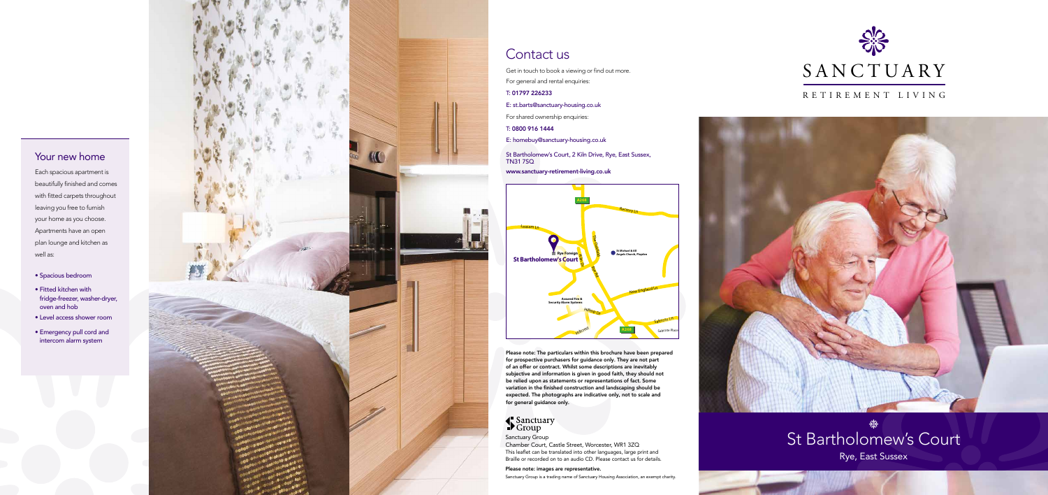# St Bartholomew's Court

Rye, East Sussex

#### RETIREMENT LIVING





### Contact us

Get in touch to book a viewing or find out more.

For general and rental enquiries:

#### T: 01797 226233

- E: st.barts@sanctuary-housing.co.uk
- For shared ownership enquiries:
- T: 0800 916 1444
- E: homebuy@sanctuary-housing.co.uk
- St Bartholomew's Court, 2 Kiln Drive, Rye, East Sussex,
- www.sanctuary-retirement-living.co.uk

TN31 7SQ

Sanctuary Group Chamber Court, Castle Street, Worcester, WR1 3ZQ This leaflet can be translated into other languages, large print and Braille or recorded on to an audio CD. Please contact us for details.

#### Please note: images are representative.

Sanctuary Group is a trading name of Sanctuary Housing Association, an exempt charity.



Please note: The particulars within this brochure have been prepared for prospective purchasers for guidance only. They are not part of an offer or contract. Whilst some descriptions are inevitably subjective and information is given in good faith, they should not be relied upon as statements or representations of fact. Some variation in the finished construction and landscaping should be expected. The photographs are indicative only, not to scale and for general guidance only.

## Sanctuary<br>Scroup

#### Your new home

Each spacious apartment is beautifully finished and comes with fitted carpets throughout leaving you free to furnish your home as you choose. Apartments have an open plan lounge and kitchen as well as:

- Spacious bedroom
- Fitted kitchen with fridge-freezer, washer-dryer, oven and hob
- Level access shower room
- Emergency pull cord and intercom alarm system